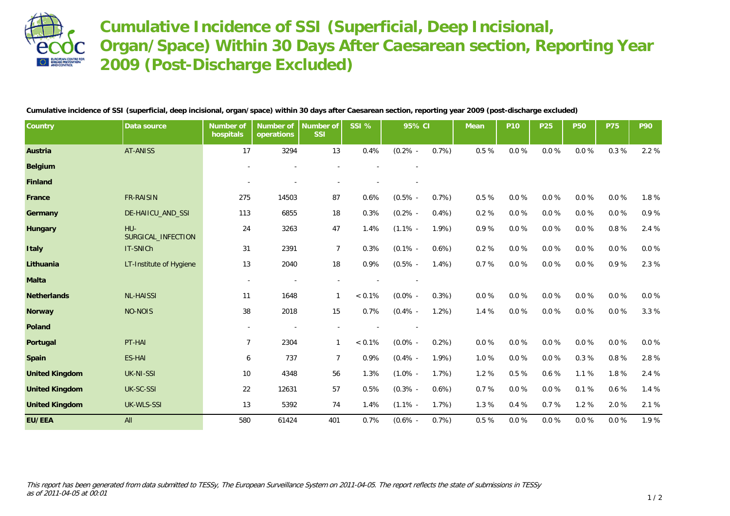

**Cumulative Incidence of SSI (Superficial, Deep Incisional, Organ/Space) Within 30 Days After Caesarean section, Reporting Year 2009 (Post-Discharge Excluded)**

**Cumulative incidence of SSI (superficial, deep incisional, organ/space) within 30 days after Caesarean section, reporting year 2009 (post-discharge excluded)**

| Country               | Data source               | Number of<br>hospitals   | Number of<br>operations | Number of<br>SSI | SSI %     | 95% CI     |         | Mean      | P <sub>10</sub> | P25  | <b>P50</b> | <b>P75</b> | P90      |
|-----------------------|---------------------------|--------------------------|-------------------------|------------------|-----------|------------|---------|-----------|-----------------|------|------------|------------|----------|
| Austria               | <b>AT-ANISS</b>           | 17                       | 3294                    | 13               | 0.4%      | $(0.2\%$ - | 0.7%    | 0.5%      | $0.0\ \%$       | 0.0% | $0.0\ \%$  | 0.3%       | 2.2 %    |
| Belgium               |                           |                          |                         |                  |           |            |         |           |                 |      |            |            |          |
| Finland               |                           |                          |                         |                  |           |            |         |           |                 |      |            |            |          |
| France                | <b>FR-RAISIN</b>          | 275                      | 14503                   | 87               | 0.6%      | $(0.5\%$ - | 0.7%    | $0.5\ \%$ | $0.0 \%$        | 0.0% | $0.0 \%$   | 0.0%       | 1.8%     |
| Germany               | DE-HAIICU_AND_SSI         | 113                      | 6855                    | 18               | 0.3%      | $(0.2\%$ - | 0.4%    | 0.2%      | $0.0 \%$        | 0.0% | $0.0 \%$   | $0.0 \%$   | 0.9%     |
| Hungary               | HU-<br>SURGICAL_INFECTION | 24                       | 3263                    | 47               | 1.4%      | $(1.1\%$ - | 1.9%    | 0.9%      | $0.0 \%$        | 0.0% | $0.0 \%$   | 0.8%       | 2.4 %    |
| Italy                 | IT-SNICh                  | 31                       | 2391                    | $\overline{7}$   | 0.3%      | $(0.1\%$ - | $0.6\%$ | 0.2%      | $0.0 \%$        | 0.0% | $0.0 \%$   | 0.0%       | 0.0 %    |
| Lithuania             | LT-Institute of Hygiene   | 13                       | 2040                    | 18               | 0.9%      | $(0.5\%$ - | 1.4%    | 0.7%      | 0.0%            | 0.0% | 0.0%       | 0.9%       | 2.3 %    |
| Malta                 |                           | $\sim$                   |                         |                  |           |            |         |           |                 |      |            |            |          |
| Netherlands           | <b>NL-HAISSI</b>          | 11                       | 1648                    | 1                | $< 0.1\%$ | $(0.0\%$ - | 0.3%    | 0.0%      | 0.0%            | 0.0% | 0.0%       | 0.0%       | $0.0 \%$ |
| Norway                | <b>NO-NOIS</b>            | 38                       | 2018                    | 15               | 0.7%      | $(0.4\%$ - | 1.2%    | 1.4 %     | $0.0 \%$        | 0.0% | $0.0 \%$   | 0.0%       | 3.3 %    |
| Poland                |                           | $\overline{\phantom{a}}$ |                         |                  |           |            |         |           |                 |      |            |            |          |
| Portugal              | PT-HAI                    | $\overline{7}$           | 2304                    | $\mathbf{1}$     | $< 0.1\%$ | $(0.0\%$ - | 0.2%    | 0.0%      | $0.0\ \%$       | 0.0% | $0.0\ \%$  | $0.0 \%$   | $0.0 \%$ |
| Spain                 | <b>ES-HAI</b>             | 6                        | 737                     | $\overline{7}$   | 0.9%      | $(0.4\%$ - | 1.9%    | 1.0%      | 0.0%            | 0.0% | 0.3%       | 0.8%       | 2.8 %    |
| <b>United Kingdom</b> | <b>UK-NI-SSI</b>          | 10                       | 4348                    | 56               | 1.3%      | $(1.0\%$ - | 1.7%    | 1.2%      | $0.5~\%$        | 0.6% | 1.1%       | 1.8%       | 2.4 %    |
| <b>United Kingdom</b> | UK-SC-SSI                 | 22                       | 12631                   | 57               | 0.5%      | $(0.3\%$ - | $0.6\%$ | 0.7%      | 0.0%            | 0.0% | 0.1%       | 0.6%       | 1.4%     |
| <b>United Kingdom</b> | UK-WLS-SSI                | 13                       | 5392                    | 74               | 1.4%      | $(1.1\%$ - | 1.7%    | 1.3%      | 0.4%            | 0.7% | 1.2 %      | 2.0%       | 2.1 %    |
| EU/EEA                | All                       | 580                      | 61424                   | 401              | 0.7%      | $(0.6\% -$ | 0.7%    | 0.5%      | 0.0%            | 0.0% | 0.0%       | 0.0%       | 1.9%     |